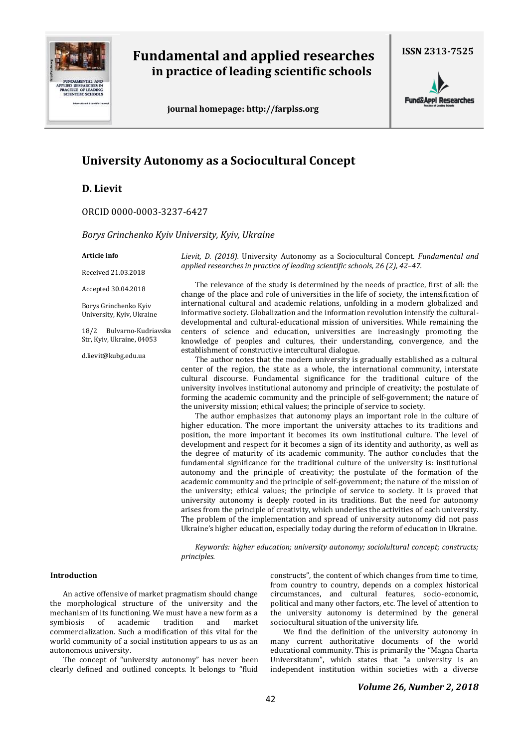

# **Fundamental and applied researches in practice of leading scientific schools**

 **journal homepage: http://farplss.org**

**Fund&Appl Researches** 

## **University Autonomy as a Sociocultural Concept**

**D. Lievit**

ORCID 0000-0003-3237-6427

*Borys Grinchenko Kyiv University, Kyiv, Ukraine* 

#### **Article info**

Received 21.03.2018

Accepted 30.04.2018

Borys Grinchenko Kyiv University, Kyiv, Ukraine

18/2 Bulvarno-Kudriavska Str, Kyiv, Ukraine, 04053

d.lievit@kubg.edu.ua

*Lievit, D. (2018).* University Autonomy as a Sociocultural Concept. *Fundamental and applied researches in practice of leading scientific schools, 26 (2), 42–47.*

The relevance of the study is determined by the needs of practice, first of all: the change of the place and role of universities in the life of society, the intensification of international cultural and academic relations, unfolding in a modern globalized and informative society. Globalization and the information revolution intensify the culturaldevelopmental and cultural-educational mission of universities. While remaining the centers of science and education, universities are increasingly promoting the knowledge of peoples and cultures, their understanding, convergence, and the establishment of constructive intercultural dialogue.

The author notes that the modern university is gradually established as a cultural center of the region, the state as a whole, the international community, interstate cultural discourse. Fundamental significance for the traditional culture of the university involves institutional autonomy and principle of creativity; the postulate of forming the academic community and the principle of self-government; the nature of the university mission; ethical values; the principle of service to society.

The author emphasizes that autonomy plays an important role in the culture of higher education. The more important the university attaches to its traditions and position, the more important it becomes its own institutional culture. The level of development and respect for it becomes a sign of its identity and authority, as well as the degree of maturity of its academic community. The author concludes that the fundamental significance for the traditional culture of the university is: institutional autonomy and the principle of creativity; the postulate of the formation of the academic community and the principle of self-government; the nature of the mission of the university; ethical values; the principle of service to society. It is proved that university autonomy is deeply rooted in its traditions. But the need for autonomy arises from the principle of creativity, which underlies the activities of each university. The problem of the implementation and spread of university autonomy did not pass Ukraine's higher education, especially today during the reform of education in Ukraine.

*Keywords: higher education; university autonomy; sociolultural concept; constructs; principles.*

#### **Introduction**

An active offensive of market pragmatism should change the morphological structure of the university and the mechanism of its functioning. We must have a new form as a symbiosis of academic tradition and market commercialization. Such a modification of this vital for the world community of a social institution appears to us as an autonomous university.

The concept of "university autonomy" has never been clearly defined and outlined concepts. It belongs to "fluid constructs", the content of which changes from time to time, from country to country, depends on a complex historical circumstances, and cultural features, socio-economic, political and many other factors, etc. The level of attention to the university autonomy is determined by the general sociocultural situation of the university life.

We find the definition of the university autonomy in many current authoritative documents of the world educational community. This is primarily the "Magna Charta Universitatum", which states that "a university is an independent institution within societies with a diverse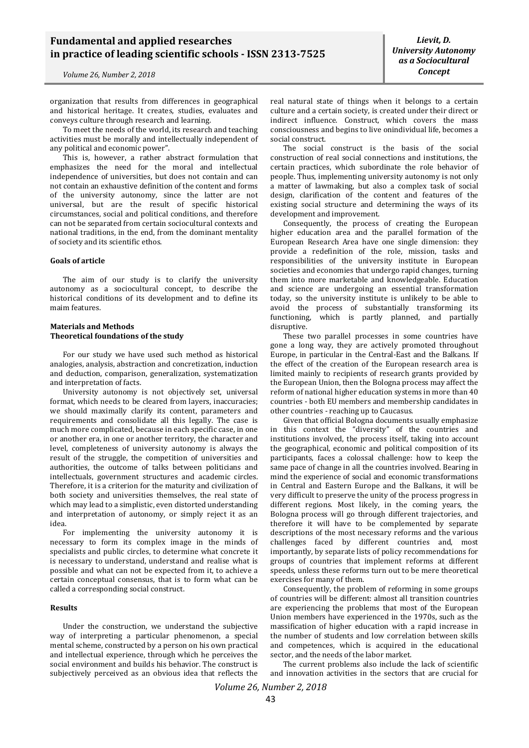organization that results from differences in geographical and historical heritage. It creates, studies, evaluates and conveys culture through research and learning.

To meet the needs of the world, its research and teaching activities must be morally and intellectually independent of any political and economic power".

This is, however, a rather abstract formulation that emphasizes the need for the moral and intellectual independence of universities, but does not contain and can not contain an exhaustive definition of the content and forms of the university autonomy, since the latter are not universal, but are the result of specific historical circumstances, social and political conditions, and therefore can not be separated from certain sociocultural contexts and national traditions, in the end, from the dominant mentality of society and its scientific ethos.

#### **Goals of article**

The aim of our study is to clarify the university autonomy as a sociocultural concept, to describe the historical conditions of its development and to define its maim features.

### **Materials and Methods Theoretical foundations of the study**

For our study we have used such method as historical analogies, analysis, abstraction and concretization, induction and deduction, comparison, generalization, systematization and interpretation of facts.

University autonomy is not objectively set, universal format, which needs to be cleared from layers, inaccuracies; we should maximally clarify its content, parameters and requirements and consolidate all this legally. The case is much more complicated, because in each specific case, in one or another era, in one or another territory, the character and level, completeness of university autonomy is always the result of the struggle, the competition of universities and authorities, the outcome of talks between politicians and intellectuals, government structures and academic circles. Therefore, it is a criterion for the maturity and civilization of both society and universities themselves, the real state of which may lead to a simplistic, even distorted understanding and interpretation of autonomy, or simply reject it as an idea.

For implementing the university autonomy it is necessary to form its complex image in the minds of specialists and public circles, to determine what concrete it is necessary to understand, understand and realise what is possible and what can not be expected from it, to achieve a certain conceptual consensus, that is to form what can be called a corresponding social construct.

## **Results**

Under the construction, we understand the subjective way of interpreting a particular phenomenon, a special mental scheme, constructed by a person on his own practical and intellectual experience, through which he perceives the social environment and builds his behavior. The construct is subjectively perceived as an obvious idea that reflects the

real natural state of things when it belongs to a certain culture and a certain society, is created under their direct or indirect influence. Construct, which covers the mass

consciousness and begins to live onindividual life, becomes a social construct. The social construct is the basis of the social construction of real social connections and institutions, the certain practices, which subordinate the role behavior of people. Thus, implementing university autonomy is not only a matter of lawmaking, but also a complex task of social design, clarification of the content and features of the

existing social structure and determining the ways of its

development and improvement. Consequently, the process of creating the European higher education area and the parallel formation of the European Research Area have one single dimension: they provide a redefinition of the role, mission, tasks and responsibilities of the university institute in European societies and economies that undergo rapid changes, turning them into more marketable and knowledgeable. Education and science are undergoing an essential transformation today, so the university institute is unlikely to be able to avoid the process of substantially transforming its functioning, which is partly planned, and partially disruptive.

These two parallel processes in some countries have gone a long way, they are actively promoted throughout Europe, in particular in the Central-East and the Balkans. If the effect of the creation of the European research area is limited mainly to recipients of research grants provided by the European Union, then the Bologna process may affect the reform of national higher education systems in more than 40 countries - both EU members and membership candidates in other countries - reaching up to Caucasus.

Given that official Bologna documents usually emphasize in this context the "diversity" of the countries and institutions involved, the process itself, taking into account the geographical, economic and political composition of its participants, faces a colossal challenge: how to keep the same pace of change in all the countries involved. Bearing in mind the experience of social and economic transformations in Central and Eastern Europe and the Balkans, it will be very difficult to preserve the unity of the process progress in different regions. Most likely, in the coming years, the Bologna process will go through different trajectories, and therefore it will have to be complemented by separate descriptions of the most necessary reforms and the various challenges faced by different countries and, most importantly, by separate lists of policy recommendations for groups of countries that implement reforms at different speeds, unless these reforms turn out to be mere theoretical exercises for many of them.

Consequently, the problem of reforming in some groups of countries will be different: almost all transition countries are experiencing the problems that most of the European Union members have experienced in the 1970s, such as the massification of higher education with a rapid increase in the number of students and low correlation between skills and competences, which is acquired in the educational sector, and the needs of the labor market.

The current problems also include the lack of scientific and innovation activities in the sectors that are crucial for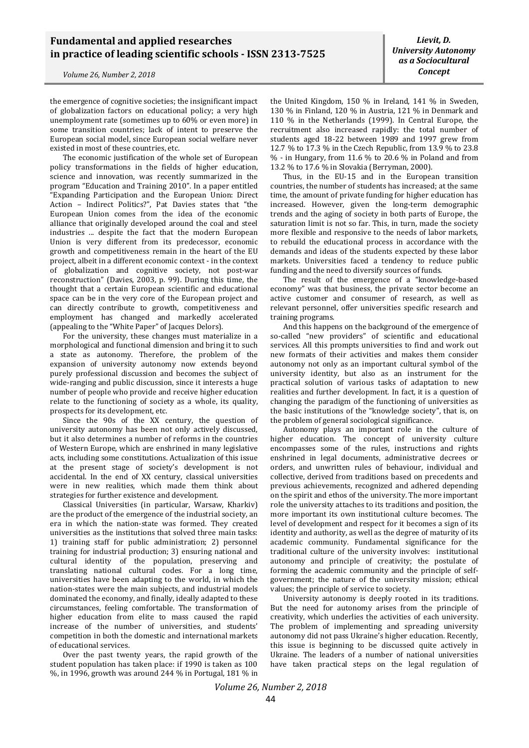the emergence of cognitive societies; the insignificant impact of globalization factors on educational policy; a very high unemployment rate (sometimes up to 60% or even more) in some transition countries; lack of intent to preserve the European social model, since European social welfare never existed in most of these countries, etc.

The economic justification of the whole set of European policy transformations in the fields of higher education, science and innovation, was recently summarized in the program "Education and Training 2010". In a paper entitled "Expanding Participation and the European Union: Direct Action – Indirect Politics?", Pat Davies states that "the European Union comes from the idea of the economic alliance that originally developed around the coal and steel industries ... despite the fact that the modern European Union is very different from its predecessor, economic growth and competitiveness remain in the heart of the EU project, albeit in a different economic context - in the context of globalization and cognitive society, not post-war reconstruction" (Davies, 2003, p. 99). During this time, the thought that a certain European scientific and educational space can be in the very core of the European project and can directly contribute to growth, competitiveness and employment has changed and markedly accelerated (appealing to the "White Paper" of Jacques Delors).

For the university, these changes must materialize in a morphological and functional dimension and bring it to such a state as autonomy. Therefore, the problem of the expansion of university autonomy now extends beyond purely professional discussion and becomes the subject of wide-ranging and public discussion, since it interests a huge number of people who provide and receive higher education relate to the functioning of society as a whole, its quality, prospects for its development, etc.

Since the 90s of the XX century, the question of university autonomy has been not only actively discussed, but it also determines a number of reforms in the countries of Western Europe, which are enshrined in many legislative acts, including some constitutions. Actualization of this issue at the present stage of society's development is not accidental. In the end of XX century, classical universities were in new realities, which made them think about strategies for further existence and development.

Classical Universities (in particular, Warsaw, Kharkiv) are the product of the emergence of the industrial society, an era in which the nation-state was formed. They created universities as the institutions that solved three main tasks: 1) training staff for public administration; 2) personnel training for industrial production; 3) ensuring national and cultural identity of the population, preserving and translating national cultural codes. For a long time, universities have been adapting to the world, in which the nation-states were the main subjects, and industrial models dominated the economy, and finally, ideally adapted to these circumstances, feeling comfortable. The transformation of higher education from elite to mass caused the rapid increase of the number of universities, and students' competition in both the domestic and international markets of educational services.

Over the past twenty years, the rapid growth of the student population has taken place: if 1990 is taken as 100 %, in 1996, growth was around 244 % in Portugal, 181 % in

the United Kingdom, 150 % in Ireland, 141 % in Sweden, 130 % in Finland, 120 % in Austria, 121 % in Denmark and 110 % in the Netherlands (1999). In Central Europe, the recruitment also increased rapidly: the total number of students aged 18-22 between 1989 and 1997 grew from 12.7 % to 17.3 % in the Czech Republic, from 13.9 % to 23.8 % - in Hungary, from 11.6 % to 20.6 % in Poland and from 13.2 % to 17.6 % in Slovakia (Berryman, 2000).

Thus, in the EU-15 and in the European transition countries, the number of students has increased; at the same time, the amount of private funding for higher education has increased. However, given the long-term demographic trends and the aging of society in both parts of Europe, the saturation limit is not so far. This, in turn, made the society more flexible and responsive to the needs of labor markets, to rebuild the educational process in accordance with the demands and ideas of the students expected by these labor markets. Universities faced a tendency to reduce public funding and the need to diversify sources of funds.

The result of the emergence of a "knowledge-based economy" was that business, the private sector become an active customer and consumer of research, as well as relevant personnel, offer universities specific research and training programs.

And this happens on the background of the emergence of so-called "new providers" of scientific and educational services. All this prompts universities to find and work out new formats of their activities and makes them consider autonomy not only as an important cultural symbol of the university identity, but also as an instrument for the practical solution of various tasks of adaptation to new realities and further development. In fact, it is a question of changing the paradigm of the functioning of universities as the basic institutions of the "knowledge society", that is, on the problem of general sociological significance.

Autonomy plays an important role in the culture of higher education. The concept of university culture encompasses some of the rules, instructions and rights enshrined in legal documents, administrative decrees or orders, and unwritten rules of behaviour, individual and collective, derived from traditions based on precedents and previous achievements, recognized and adhered depending on the spirit and ethos of the university. The more important role the university attaches to its traditions and position, the more important its own institutional culture becomes. The level of development and respect for it becomes a sign of its identity and authority, as well as the degree of maturity of its academic community. Fundamental significance for the traditional culture of the university involves: institutional autonomy and principle of creativity; the postulate of forming the academic community and the principle of selfgovernment; the nature of the university mission; ethical values; the principle of service to society.

University autonomy is deeply rooted in its traditions. But the need for autonomy arises from the principle of creativity, which underlies the activities of each university. The problem of implementing and spreading university autonomy did not pass Ukraine's higher education. Recently, this issue is beginning to be discussed quite actively in Ukraine. The leaders of a number of national universities have taken practical steps on the legal regulation of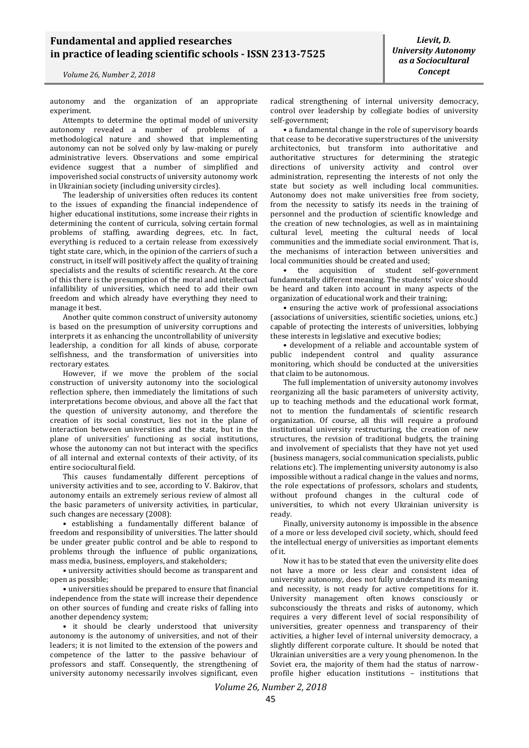autonomy and the organization of an appropriate experiment.

Attempts to determine the optimal model of university autonomy revealed a number of problems of a methodological nature and showed that implementing autonomy can not be solved only by law-making or purely administrative levers. Observations and some empirical evidence suggest that a number of simplified and impoverished social constructs of university autonomy work in Ukrainian society (including university circles).

The leadership of universities often reduces its content to the issues of expanding the financial independence of higher educational institutions, some increase their rights in determining the content of curricula, solving certain formal problems of staffing, awarding degrees, etc. In fact, everything is reduced to a certain release from excessively tight state care, which, in the opinion of the carriers of such a construct, in itself will positively affect the quality of training specialists and the results of scientific research. At the core of this there is the presumption of the moral and intellectual infallibility of universities, which need to add their own freedom and which already have everything they need to manage it best.

Another quite common construct of university autonomy is based on the presumption of university corruptions and interprets it as enhancing the uncontrollability of university leadership, a condition for all kinds of abuse, corporate selfishness, and the transformation of universities into rectorary estates.

However, if we move the problem of the social construction of university autonomy into the sociological reflection sphere, then immediately the limitations of such interpretations become obvious, and above all the fact that the question of university autonomy, and therefore the creation of its social construct, lies not in the plane of interaction between universities and the state, but in the plane of universities' functioning as social institutions, whose the autonomy can not but interact with the specifics of all internal and external contexts of their activity, of its entire sociocultural field.

This causes fundamentally different perceptions of university activities and to see, according to V. Bakirov, that autonomy entails an extremely serious review of almost all the basic parameters of university activities, in particular, such changes are necessary (2008):

• establishing a fundamentally different balance of freedom and responsibility of universities. The latter should be under greater public control and be able to respond to problems through the influence of public organizations, mass media, business, employers, and stakeholders;

• university activities should become as transparent and open as possible;

• universities should be prepared to ensure that financial independence from the state will increase their dependence on other sources of funding and create risks of falling into another dependency system;

• it should be clearly understood that university autonomy is the autonomy of universities, and not of their leaders; it is not limited to the extension of the powers and competence of the latter to the passive behaviour of professors and staff. Consequently, the strengthening of university autonomy necessarily involves significant, even

*Lievit, D. University Autonomy as a Sociocultural Concept*

radical strengthening of internal university democracy, control over leadership by collegiate bodies of university self-government;

• a fundamental change in the role of supervisory boards that cease to be decorative superstructures of the university architectonics, but transform into authoritative and authoritative structures for determining the strategic directions of university activity and control over administration, representing the interests of not only the state but society as well including local communities. Autonomy does not make universities free from society, from the necessity to satisfy its needs in the training of personnel and the production of scientific knowledge and the creation of new technologies, as well as in maintaining cultural level, meeting the cultural needs of local communities and the immediate social environment. That is, the mechanisms of interaction between universities and local communities should be created and used;

• the acquisition of student self-government fundamentally different meaning. The students' voice should be heard and taken into account in many aspects of the organization of educational work and their training;

• ensuring the active work of professional associations (associations of universities, scientific societies, unions, etc.) capable of protecting the interests of universities, lobbying these interests in legislative and executive bodies;

• development of a reliable and accountable system of public independent control and quality assurance monitoring, which should be conducted at the universities that claim to be autonomous.

The full implementation of university autonomy involves reorganizing all the basic parameters of university activity, up to teaching methods and the educational work format, not to mention the fundamentals of scientific research organization. Of course, all this will require a profound institutional university restructuring, the creation of new structures, the revision of traditional budgets, the training and involvement of specialists that they have not yet used (business managers, social communication specialists, public relations etc). The implementing university autonomy is also impossible without a radical change in the values and norms, the role expectations of professors, scholars and students, without profound changes in the cultural code of universities, to which not every Ukrainian university is ready.

Finally, university autonomy is impossible in the absence of a more or less developed civil society, which, should feed the intellectual energy of universities as important elements of it.

Now it has to be stated that even the university elite does not have a more or less clear and consistent idea of university autonomy, does not fully understand its meaning and necessity, is not ready for active competitions for it. University management often knows consciously or subconsciously the threats and risks of autonomy, which requires a very different level of social responsibility of universities, greater openness and transparency of their activities, a higher level of internal university democracy, a slightly different corporate culture. It should be noted that Ukrainian universities are a very young phenomenon. In the Soviet era, the majority of them had the status of narrowprofile higher education institutions – institutions that

*Volume 26, Number 2, 2018*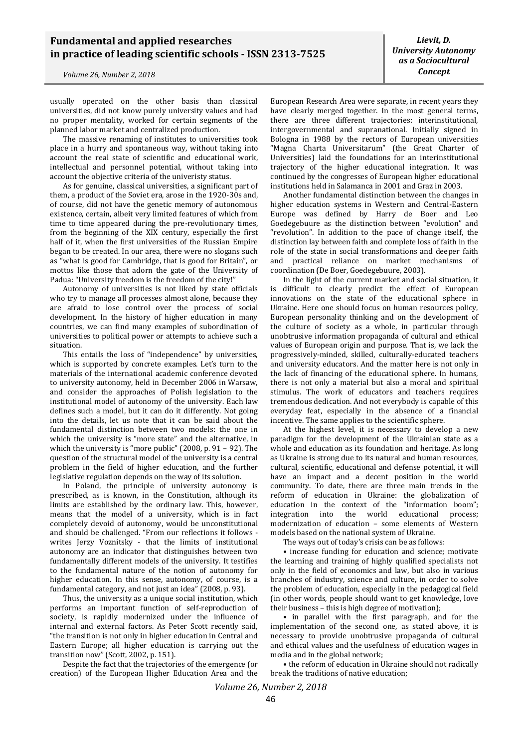usually operated on the other basis than classical universities, did not know purely university values and had no proper mentality, worked for certain segments of the planned labor market and centralized production.

The massive renaming of institutes to universities took place in a hurry and spontaneous way, without taking into account the real state of scientific and educational work, intellectual and personnel potential, without taking into account the objective criteria of the univeristy status.

As for genuine, classical universities, a significant part of them, a product of the Soviet era, arose in the 1920-30s and, of course, did not have the genetic memory of autonomous existence, certain, albeit very limited features of which from time to time appeared during the pre-revolutionary times, from the beginning of the XIX century, especially the first half of it, when the first universities of the Russian Empire began to be created. In our area, there were no slogans such as "what is good for Cambridge, that is good for Britain", or mottos like those that adorn the gate of the University of Padua: "University freedom is the freedom of the city!"

Autonomy of universities is not liked by state officials who try to manage all processes almost alone, because they are afraid to lose control over the process of social development. In the history of higher education in many countries, we can find many examples of subordination of universities to political power or attempts to achieve such a situation.

This entails the loss of "independence" by universities, which is supported by concrete examples. Let's turn to the materials of the international academic conference devoted to university autonomy, held in December 2006 in Warsaw, and consider the approaches of Polish legislation to the institutional model of autonomy of the university. Each law defines such a model, but it can do it differently. Not going into the details, let us note that it can be said about the fundamental distinction between two models: the one in which the university is "more state" and the alternative, in which the university is "more public" (2008, p. 91 – 92). The question of the structural model of the university is a central problem in the field of higher education, and the further legislative regulation depends on the way of its solution.

In Poland, the principle of university autonomy is prescribed, as is known, in the Constitution, although its limits are established by the ordinary law. This, however, means that the model of a university, which is in fact completely devoid of autonomy, would be unconstitutional and should be challenged. "From our reflections it follows writes Jerzy Voznitsky - that the limits of institutional autonomy are an indicator that distinguishes between two fundamentally different models of the university. It testifies to the fundamental nature of the notion of autonomy for higher education. In this sense, autonomy, of course, is a fundamental category, and not just an idea" (2008, p. 93).

Thus, the university as a unique social institution, which performs an important function of self-reproduction of society, is rapidly modernized under the influence of internal and external factors. As Peter Scott recently said, "the transition is not only in higher education in Central and Eastern Europe; all higher education is carrying out the transition now" (Scott, 2002, p. 151).

Despite the fact that the trajectories of the emergence (or creation) of the European Higher Education Area and the

European Research Area were separate, in recent years they have clearly merged together. In the most general terms, there are three different trajectories: interinstitutional, intergovernmental and supranational. Initially signed in Bologna in 1988 by the rectors of European universities "Magna Charta Universitarum" (the Great Charter of Universities) laid the foundations for an interinstitutional trajectory of the higher educational integration. It was continued by the congresses of European higher educational institutions held in Salamanca in 2001 and Graz in 2003.

Another fundamental distinction between the changes in higher education systems in Western and Central-Eastern Europe was defined by Harry de Boer and Leo Goedegebuure as the distinction between "evolution" and "revolution". In addition to the pace of change itself, the distinction lay between faith and complete loss of faith in the role of the state in social transformations and deeper faith and practical reliance on market mechanisms of coordination (De Boer, Goedegebuure, 2003).

In the light of the current market and social situation, it is difficult to clearly predict the effect of European innovations on the state of the educational sphere in Ukraine. Here one should focus on human resources policy, European personality thinking and on the development of the culture of society as a whole, in particular through unobtrusive information propaganda of cultural and ethical values of European origin and purpose. That is, we lack the progressively-minded, skilled, culturally-educated teachers and university educators. And the matter here is not only in the lack of financing of the educational sphere. In humans, there is not only a material but also a moral and spiritual stimulus. The work of educators and teachers requires tremendous dedication. And not everybody is capable of this everyday feat, especially in the absence of a financial incentive. The same applies to the scientific sphere.

At the highest level, it is necessary to develop a new paradigm for the development of the Ukrainian state as a whole and education as its foundation and heritage. As long as Ukraine is strong due to its natural and human resources, cultural, scientific, educational and defense potential, it will have an impact and a decent position in the world community. To date, there are three main trends in the reform of education in Ukraine: the globalization of education in the context of the "information boom"; integration into the world educational process; modernization of education – some elements of Western models based on the national system of Ukraine.

The ways out of today's crisis can be as follows:

• increase funding for education and science; motivate the learning and training of highly qualified specialists not only in the field of economics and law, but also in various branches of industry, science and culture, in order to solve the problem of education, especially in the pedagogical field (in other words, people should want to get knowledge, love their business – this is high degree of motivation);

• in parallel with the first paragraph, and for the implementation of the second one, as stated above, it is necessary to provide unobtrusive propaganda of cultural and ethical values and the usefulness of education wages in media and in the global network;

• the reform of education in Ukraine should not radically break the traditions of native education;